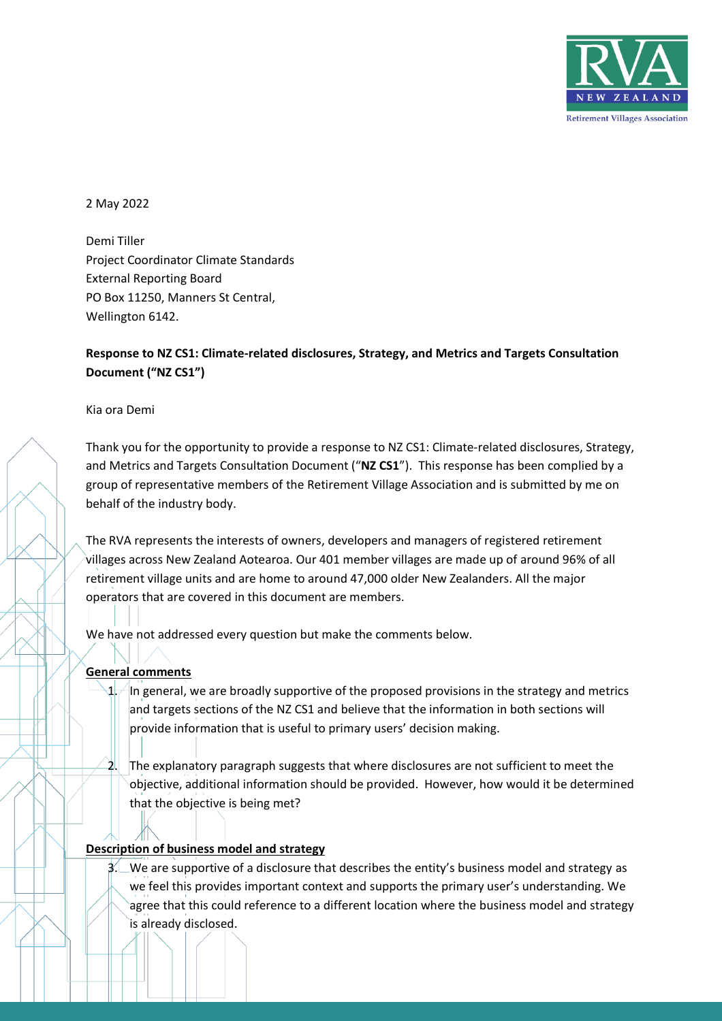

2 May 2022

Demi Tiller Project Coordinator Climate Standards External Reporting Board PO Box 11250, Manners St Central, Wellington 6142.

# **Response to NZ CS1: Climate-related disclosures, Strategy, and Metrics and Targets Consultation Document ("NZ CS1")**

Kia ora Demi

Thank you for the opportunity to provide a response to NZ CS1: Climate-related disclosures, Strategy, and Metrics and Targets Consultation Document ("**NZ CS1**"). This response has been complied by a group of representative members of the Retirement Village Association and is submitted by me on behalf of the industry body.

The RVA represents the interests of owners, developers and managers of registered retirement villages across New Zealand Aotearoa. Our 401 member villages are made up of around 96% of all retirement village units and are home to around 47,000 older New Zealanders. All the major operators that are covered in this document are members.

We have not addressed every question but make the comments below.

#### **General comments**

 $\Box$  In general, we are broadly supportive of the proposed provisions in the strategy and metrics and targets sections of the NZ CS1 and believe that the information in both sections will provide information that is useful to primary users' decision making.

2. The explanatory paragraph suggests that where disclosures are not sufficient to meet the objective, additional information should be provided. However, how would it be determined that the objective is being met?

# **Description of business model and strategy**

 $\frac{3}{2}$  We are supportive of a disclosure that describes the entity's business model and strategy as we feel this provides important context and supports the primary user's understanding. We agree that this could reference to a different location where the business model and strategy is already disclosed.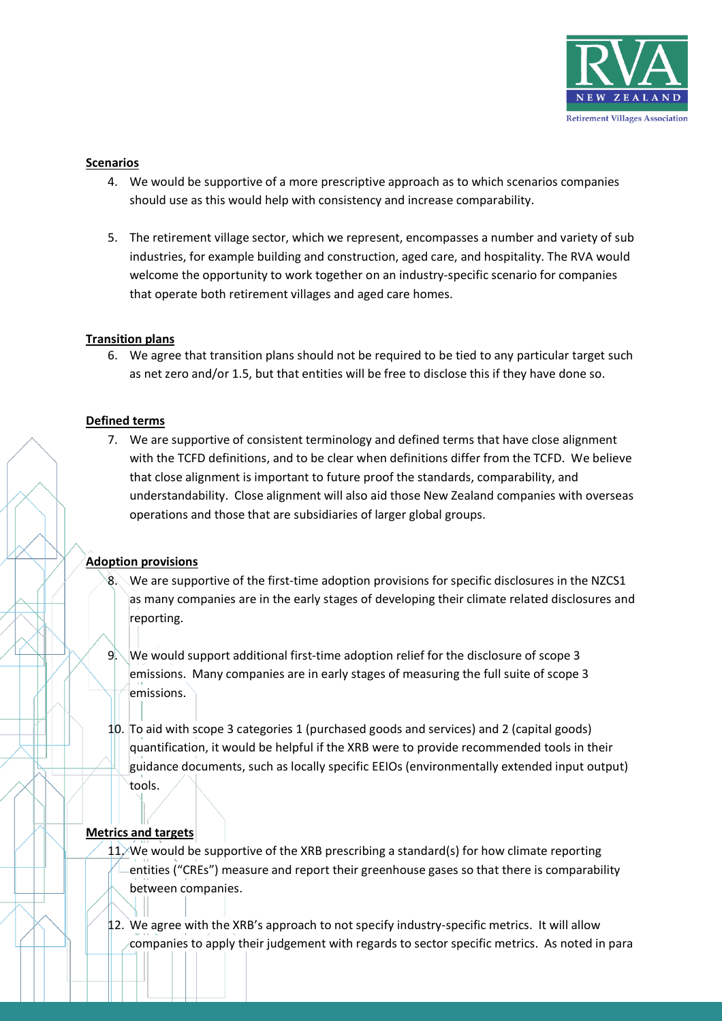

#### **Scenarios**

- 4. We would be supportive of a more prescriptive approach as to which scenarios companies should use as this would help with consistency and increase comparability.
- 5. The retirement village sector, which we represent, encompasses a number and variety of sub industries, for example building and construction, aged care, and hospitality. The RVA would welcome the opportunity to work together on an industry-specific scenario for companies that operate both retirement villages and aged care homes.

## **Transition plans**

6. We agree that transition plans should not be required to be tied to any particular target such as net zero and/or 1.5, but that entities will be free to disclose this if they have done so.

#### **Defined terms**

7. We are supportive of consistent terminology and defined terms that have close alignment with the TCFD definitions, and to be clear when definitions differ from the TCFD. We believe that close alignment is important to future proof the standards, comparability, and understandability. Close alignment will also aid those New Zealand companies with overseas operations and those that are subsidiaries of larger global groups.

# **Adoption provisions**

- $8.$  We are supportive of the first-time adoption provisions for specific disclosures in the NZCS1 as many companies are in the early stages of developing their climate related disclosures and reporting.
- 9. We would support additional first-time adoption relief for the disclosure of scope 3 emissions. Many companies are in early stages of measuring the full suite of scope 3 emissions.
- 10. To aid with scope 3 categories 1 (purchased goods and services) and 2 (capital goods) quantification, it would be helpful if the XRB were to provide recommended tools in their guidance documents, such as locally specific EEIOs (environmentally extended input output) tools.

# **Metrics and targets**

- $11$ /We would be supportive of the XRB prescribing a standard(s) for how climate reporting entities ("CREs") measure and report their greenhouse gases so that there is comparability between companies.
- 12. We agree with the XRB's approach to not specify industry-specific metrics. It will allow companies to apply their judgement with regards to sector specific metrics. As noted in para